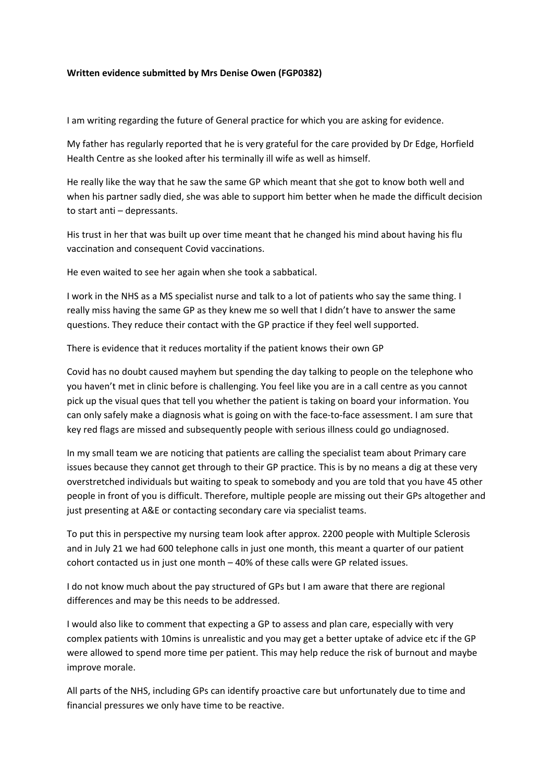## **Written evidence submitted by Mrs Denise Owen (FGP0382)**

I am writing regarding the future of General practice for which you are asking for evidence.

My father has regularly reported that he is very grateful for the care provided by Dr Edge, Horfield Health Centre as she looked after his terminally ill wife as well as himself.

He really like the way that he saw the same GP which meant that she got to know both well and when his partner sadly died, she was able to support him better when he made the difficult decision to start anti – depressants.

His trust in her that was built up over time meant that he changed his mind about having his flu vaccination and consequent Covid vaccinations.

He even waited to see her again when she took a sabbatical.

I work in the NHS as a MS specialist nurse and talk to a lot of patients who say the same thing. I really miss having the same GP as they knew me so well that I didn't have to answer the same questions. They reduce their contact with the GP practice if they feel well supported.

There is evidence that it reduces mortality if the patient knows their own GP

Covid has no doubt caused mayhem but spending the day talking to people on the telephone who you haven't met in clinic before is challenging. You feel like you are in a call centre as you cannot pick up the visual ques that tell you whether the patient is taking on board your information. You can only safely make a diagnosis what is going on with the face-to-face assessment. I am sure that key red flags are missed and subsequently people with serious illness could go undiagnosed.

In my small team we are noticing that patients are calling the specialist team about Primary care issues because they cannot get through to their GP practice. This is by no means a dig at these very overstretched individuals but waiting to speak to somebody and you are told that you have 45 other people in front of you is difficult. Therefore, multiple people are missing out their GPs altogether and just presenting at A&E or contacting secondary care via specialist teams.

To put this in perspective my nursing team look after approx. 2200 people with Multiple Sclerosis and in July 21 we had 600 telephone calls in just one month, this meant a quarter of our patient cohort contacted us in just one month – 40% of these calls were GP related issues.

I do not know much about the pay structured of GPs but I am aware that there are regional differences and may be this needs to be addressed.

I would also like to comment that expecting a GP to assess and plan care, especially with very complex patients with 10mins is unrealistic and you may get a better uptake of advice etc if the GP were allowed to spend more time per patient. This may help reduce the risk of burnout and maybe improve morale.

All parts of the NHS, including GPs can identify proactive care but unfortunately due to time and financial pressures we only have time to be reactive.